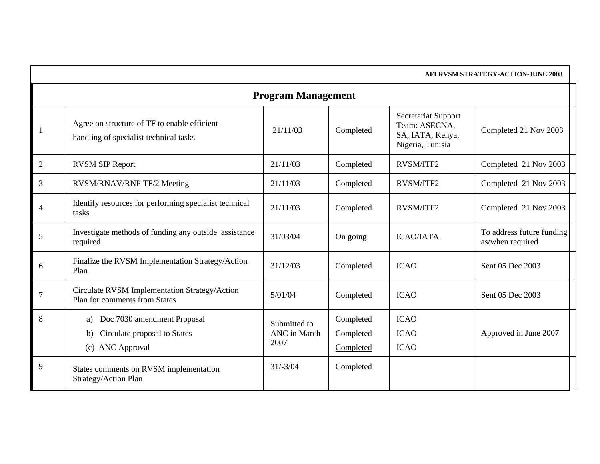|                | AFI RVSM STRATEGY-ACTION-JUNE 2008                                                          |                                      |                                     |                                                                              |                                               |  |  |  |
|----------------|---------------------------------------------------------------------------------------------|--------------------------------------|-------------------------------------|------------------------------------------------------------------------------|-----------------------------------------------|--|--|--|
|                | <b>Program Management</b>                                                                   |                                      |                                     |                                                                              |                                               |  |  |  |
| -1             | Agree on structure of TF to enable efficient<br>handling of specialist technical tasks      | 21/11/03                             | Completed                           | Secretariat Support<br>Team: ASECNA,<br>SA, IATA, Kenya,<br>Nigeria, Tunisia | Completed 21 Nov 2003                         |  |  |  |
| 2              | <b>RVSM SIP Report</b>                                                                      | 21/11/03                             | Completed                           | <b>RVSM/ITF2</b>                                                             | Completed 21 Nov 2003                         |  |  |  |
| 3              | RVSM/RNAV/RNP TF/2 Meeting                                                                  | 21/11/03                             | Completed                           | RVSM/ITF2                                                                    | Completed 21 Nov 2003                         |  |  |  |
| $\overline{4}$ | Identify resources for performing specialist technical<br>tasks                             | 21/11/03                             | Completed                           | <b>RVSM/ITF2</b>                                                             | Completed 21 Nov 2003                         |  |  |  |
| 5              | Investigate methods of funding any outside assistance<br>required                           | 31/03/04                             | On going                            | <b>ICAO/IATA</b>                                                             | To address future funding<br>as/when required |  |  |  |
| 6              | Finalize the RVSM Implementation Strategy/Action<br>Plan                                    | 31/12/03                             | Completed                           | <b>ICAO</b>                                                                  | Sent 05 Dec 2003                              |  |  |  |
| $\tau$         | Circulate RVSM Implementation Strategy/Action<br>Plan for comments from States              | 5/01/04                              | Completed                           | <b>ICAO</b>                                                                  | Sent 05 Dec 2003                              |  |  |  |
| 8              | Doc 7030 amendment Proposal<br>a)<br>Circulate proposal to States<br>b)<br>(c) ANC Approval | Submitted to<br>ANC in March<br>2007 | Completed<br>Completed<br>Completed | <b>ICAO</b><br><b>ICAO</b><br><b>ICAO</b>                                    | Approved in June 2007                         |  |  |  |
| 9              | States comments on RVSM implementation<br>Strategy/Action Plan                              | $31/-3/04$                           | Completed                           |                                                                              |                                               |  |  |  |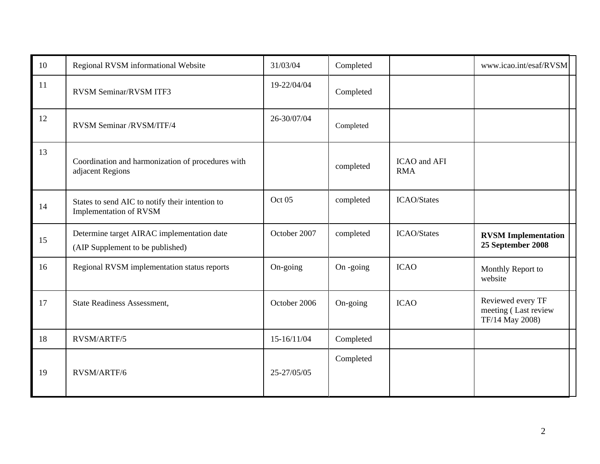| 10 | Regional RVSM informational Website                                            | 31/03/04     | Completed |                            | www.icao.int/esaf/RVSM                                       |
|----|--------------------------------------------------------------------------------|--------------|-----------|----------------------------|--------------------------------------------------------------|
| 11 | RVSM Seminar/RVSM ITF3                                                         | 19-22/04/04  | Completed |                            |                                                              |
| 12 | RVSM Seminar /RVSM/ITF/4                                                       | 26-30/07/04  | Completed |                            |                                                              |
| 13 | Coordination and harmonization of procedures with<br>adjacent Regions          |              | completed | ICAO and AFI<br><b>RMA</b> |                                                              |
| 14 | States to send AIC to notify their intention to<br>Implementation of RVSM      | Oct 05       | completed | <b>ICAO/States</b>         |                                                              |
| 15 | Determine target AIRAC implementation date<br>(AIP Supplement to be published) | October 2007 | completed | <b>ICAO/States</b>         | <b>RVSM</b> Implementation<br>25 September 2008              |
| 16 | Regional RVSM implementation status reports                                    | On-going     | On -going | <b>ICAO</b>                | Monthly Report to<br>website                                 |
| 17 | <b>State Readiness Assessment,</b>                                             | October 2006 | On-going  | <b>ICAO</b>                | Reviewed every TF<br>meeting (Last review<br>TF/14 May 2008) |
| 18 | RVSM/ARTF/5                                                                    | 15-16/11/04  | Completed |                            |                                                              |
| 19 | RVSM/ARTF/6                                                                    | 25-27/05/05  | Completed |                            |                                                              |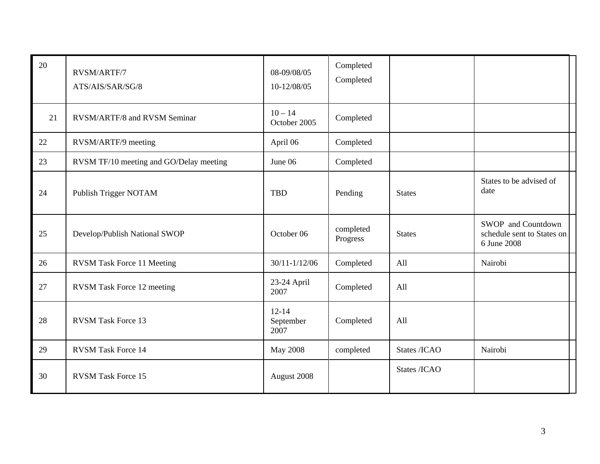| 20 | RVSM/ARTF/7<br>ATS/AIS/SAR/SG/8         | 08-09/08/05<br>10-12/08/05     | Completed<br>Completed |               |                                                                 |
|----|-----------------------------------------|--------------------------------|------------------------|---------------|-----------------------------------------------------------------|
| 21 | RVSM/ARTF/8 and RVSM Seminar            | $10 - 14$<br>October 2005      | Completed              |               |                                                                 |
| 22 | RVSM/ARTF/9 meeting                     | April 06                       | Completed              |               |                                                                 |
| 23 | RVSM TF/10 meeting and GO/Delay meeting | June 06                        | Completed              |               |                                                                 |
| 24 | Publish Trigger NOTAM                   | <b>TBD</b>                     | Pending                | <b>States</b> | States to be advised of<br>date                                 |
| 25 | Develop/Publish National SWOP           | October 06                     | completed<br>Progress  | <b>States</b> | SWOP and Countdown<br>schedule sent to States on<br>6 June 2008 |
| 26 | <b>RVSM Task Force 11 Meeting</b>       | $30/11 - 1/12/06$              | Completed              | All           | Nairobi                                                         |
| 27 | <b>RVSM</b> Task Force 12 meeting       | 23-24 April<br>2007            | Completed              | All           |                                                                 |
| 28 | <b>RVSM Task Force 13</b>               | $12 - 14$<br>September<br>2007 | Completed              | All           |                                                                 |
| 29 | <b>RVSM Task Force 14</b>               | <b>May 2008</b>                | completed              | States /ICAO  | Nairobi                                                         |
| 30 | <b>RVSM Task Force 15</b>               | August 2008                    |                        | States /ICAO  |                                                                 |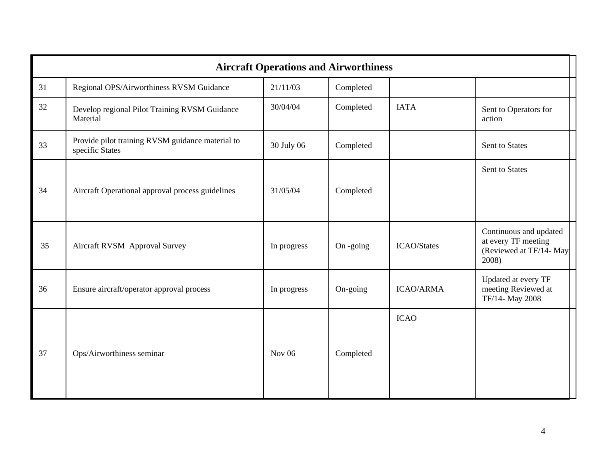|    | <b>Aircraft Operations and Airworthiness</b>                        |               |              |                    |                                                                                   |  |  |
|----|---------------------------------------------------------------------|---------------|--------------|--------------------|-----------------------------------------------------------------------------------|--|--|
| 31 | Regional OPS/Airworthiness RVSM Guidance                            | 21/11/03      | Completed    |                    |                                                                                   |  |  |
| 32 | Develop regional Pilot Training RVSM Guidance<br>Material           | 30/04/04      | Completed    | <b>IATA</b>        | Sent to Operators for<br>action                                                   |  |  |
| 33 | Provide pilot training RVSM guidance material to<br>specific States | 30 July 06    | Completed    |                    | Sent to States                                                                    |  |  |
| 34 | Aircraft Operational approval process guidelines                    | 31/05/04      | Completed    |                    | Sent to States                                                                    |  |  |
| 35 | Aircraft RVSM Approval Survey                                       | In progress   | $On - going$ | <b>ICAO/States</b> | Continuous and updated<br>at every TF meeting<br>(Reviewed at TF/14- May<br>2008) |  |  |
| 36 | Ensure aircraft/operator approval process                           | In progress   | On-going     | <b>ICAO/ARMA</b>   | Updated at every TF<br>meeting Reviewed at<br>TF/14- May 2008                     |  |  |
| 37 | Ops/Airworthiness seminar                                           | <b>Nov 06</b> | Completed    | <b>ICAO</b>        |                                                                                   |  |  |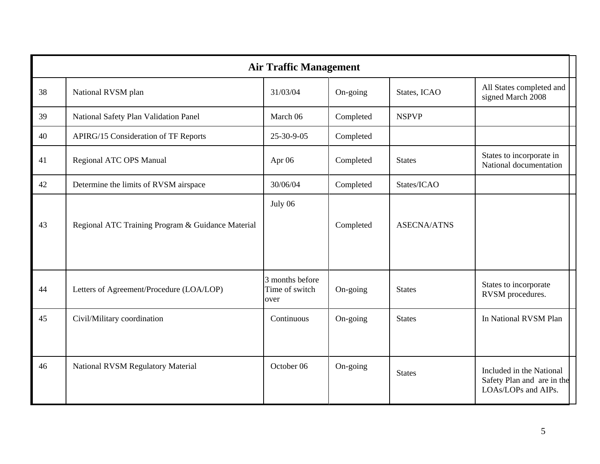|    | <b>Air Traffic Management</b>                     |                                           |           |                    |                                                                               |  |  |
|----|---------------------------------------------------|-------------------------------------------|-----------|--------------------|-------------------------------------------------------------------------------|--|--|
| 38 | National RVSM plan                                | 31/03/04                                  | On-going  | States, ICAO       | All States completed and<br>signed March 2008                                 |  |  |
| 39 | National Safety Plan Validation Panel             | March 06                                  | Completed | <b>NSPVP</b>       |                                                                               |  |  |
| 40 | <b>APIRG/15 Consideration of TF Reports</b>       | 25-30-9-05                                | Completed |                    |                                                                               |  |  |
| 41 | Regional ATC OPS Manual                           | Apr 06                                    | Completed | <b>States</b>      | States to incorporate in<br>National documentation                            |  |  |
| 42 | Determine the limits of RVSM airspace             | 30/06/04                                  | Completed | States/ICAO        |                                                                               |  |  |
| 43 | Regional ATC Training Program & Guidance Material | July 06                                   | Completed | <b>ASECNA/ATNS</b> |                                                                               |  |  |
| 44 | Letters of Agreement/Procedure (LOA/LOP)          | 3 months before<br>Time of switch<br>over | On-going  | <b>States</b>      | States to incorporate<br>RVSM procedures.                                     |  |  |
| 45 | Civil/Military coordination                       | Continuous                                | On-going  | <b>States</b>      | In National RVSM Plan                                                         |  |  |
| 46 | <b>National RVSM Regulatory Material</b>          | October 06                                | On-going  | <b>States</b>      | Included in the National<br>Safety Plan and are in the<br>LOAs/LOPs and AIPs. |  |  |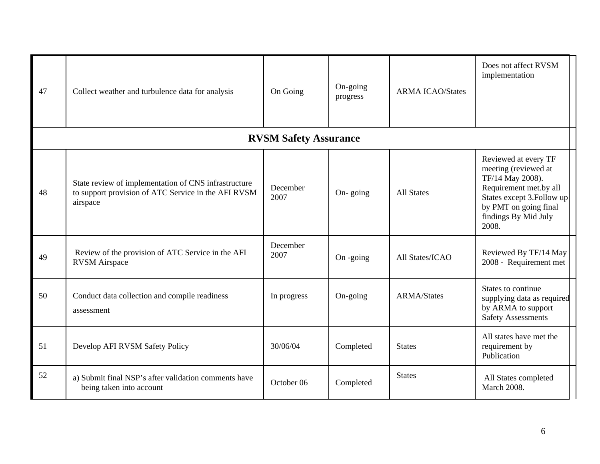| 47 | Collect weather and turbulence data for analysis                                                                        | On Going                     | On-going<br>progress | <b>ARMA ICAO/States</b> | Does not affect RVSM<br>implementation                                                                                                                                             |
|----|-------------------------------------------------------------------------------------------------------------------------|------------------------------|----------------------|-------------------------|------------------------------------------------------------------------------------------------------------------------------------------------------------------------------------|
|    |                                                                                                                         | <b>RVSM Safety Assurance</b> |                      |                         |                                                                                                                                                                                    |
| 48 | State review of implementation of CNS infrastructure<br>to support provision of ATC Service in the AFI RVSM<br>airspace | December<br>2007             | On-going             | <b>All States</b>       | Reviewed at every TF<br>meeting (reviewed at<br>TF/14 May 2008).<br>Requirement met.by all<br>States except 3. Follow up<br>by PMT on going final<br>findings By Mid July<br>2008. |
| 49 | Review of the provision of ATC Service in the AFI<br><b>RVSM</b> Airspace                                               | December<br>2007             | On -going            | All States/ICAO         | Reviewed By TF/14 May<br>2008 - Requirement met                                                                                                                                    |
| 50 | Conduct data collection and compile readiness<br>assessment                                                             | In progress                  | On-going             | <b>ARMA/States</b>      | States to continue<br>supplying data as required<br>by ARMA to support<br><b>Safety Assessments</b>                                                                                |
| 51 | Develop AFI RVSM Safety Policy                                                                                          | 30/06/04                     | Completed            | <b>States</b>           | All states have met the<br>requirement by<br>Publication                                                                                                                           |
| 52 | a) Submit final NSP's after validation comments have<br>being taken into account                                        | October 06                   | Completed            | <b>States</b>           | All States completed<br><b>March 2008.</b>                                                                                                                                         |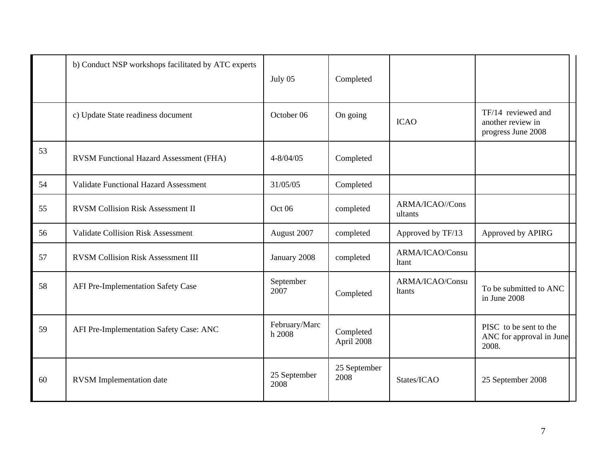|    | b) Conduct NSP workshops facilitated by ATC experts | July 05                 | Completed               |                                  |                                                               |
|----|-----------------------------------------------------|-------------------------|-------------------------|----------------------------------|---------------------------------------------------------------|
|    | c) Update State readiness document                  | October 06              | On going                | <b>ICAO</b>                      | TF/14 reviewed and<br>another review in<br>progress June 2008 |
| 53 | RVSM Functional Hazard Assessment (FHA)             | $4 - 8/04/05$           | Completed               |                                  |                                                               |
| 54 | <b>Validate Functional Hazard Assessment</b>        | 31/05/05                | Completed               |                                  |                                                               |
| 55 | <b>RVSM Collision Risk Assessment II</b>            | Oct 06                  | completed               | ARMA/ICAO//Cons<br>ultants       |                                                               |
| 56 | <b>Validate Collision Risk Assessment</b>           | August 2007             | completed               | Approved by TF/13                | Approved by APIRG                                             |
| 57 | <b>RVSM Collision Risk Assessment III</b>           | January 2008            | completed               | ARMA/ICAO/Consu<br>ltant         |                                                               |
| 58 | AFI Pre-Implementation Safety Case                  | September<br>2007       | Completed               | ARMA/ICAO/Consu<br><b>Itants</b> | To be submitted to ANC<br>in June 2008                        |
| 59 | AFI Pre-Implementation Safety Case: ANC             | February/Marc<br>h 2008 | Completed<br>April 2008 |                                  | PISC to be sent to the<br>ANC for approval in June<br>2008.   |
| 60 | <b>RVSM</b> Implementation date                     | 25 September<br>2008    | 25 September<br>2008    | States/ICAO                      | 25 September 2008                                             |